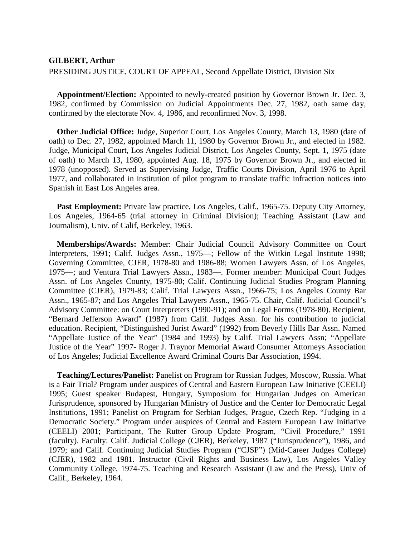## **GILBERT, Arthur**

## PRESIDING JUSTICE, COURT OF APPEAL, Second Appellate District, Division Six

**Appointment/Election:** Appointed to newly-created position by Governor Brown Jr. Dec. 3, 1982, confirmed by Commission on Judicial Appointments Dec. 27, 1982, oath same day, confirmed by the electorate Nov. 4, 1986, and reconfirmed Nov. 3, 1998.

**Other Judicial Office:** Judge, Superior Court, Los Angeles County, March 13, 1980 (date of oath) to Dec. 27, 1982, appointed March 11, 1980 by Governor Brown Jr., and elected in 1982. Judge, Municipal Court, Los Angeles Judicial District, Los Angeles County, Sept. 1, 1975 (date of oath) to March 13, 1980, appointed Aug. 18, 1975 by Governor Brown Jr., and elected in 1978 (unopposed). Served as Supervising Judge, Traffic Courts Division, April 1976 to April 1977, and collaborated in institution of pilot program to translate traffic infraction notices into Spanish in East Los Angeles area.

Past Employment: Private law practice, Los Angeles, Calif., 1965-75. Deputy City Attorney, Los Angeles, 1964-65 (trial attorney in Criminal Division); Teaching Assistant (Law and Journalism), Univ. of Calif, Berkeley, 1963.

**Memberships/Awards:** Member: Chair Judicial Council Advisory Committee on Court Interpreters, 1991; Calif. Judges Assn., 1975—; Fellow of the Witkin Legal Institute 1998; Governing Committee, CJER, 1978-80 and 1986-88; Women Lawyers Assn. of Los Angeles, 1975—; and Ventura Trial Lawyers Assn., 1983—. Former member: Municipal Court Judges Assn. of Los Angeles County, 1975-80; Calif. Continuing Judicial Studies Program Planning Committee (CJER), 1979-83; Calif. Trial Lawyers Assn., 1966-75; Los Angeles County Bar Assn., 1965-87; and Los Angeles Trial Lawyers Assn., 1965-75. Chair, Calif. Judicial Council's Advisory Committee: on Court Interpreters (1990-91); and on Legal Forms (1978-80). Recipient, "Bernard Jefferson Award" (1987) from Calif. Judges Assn. for his contribution to judicial education. Recipient, "Distinguished Jurist Award" (1992) from Beverly Hills Bar Assn. Named "Appellate Justice of the Year" (1984 and 1993) by Calif. Trial Lawyers Assn; "Appellate Justice of the Year" 1997- Roger J. Traynor Memorial Award Consumer Attorneys Association of Los Angeles; Judicial Excellence Award Criminal Courts Bar Association, 1994.

**Teaching/Lectures/Panelist:** Panelist on Program for Russian Judges, Moscow, Russia. What is a Fair Trial? Program under auspices of Central and Eastern European Law Initiative (CEELI) 1995; Guest speaker Budapest, Hungary, Symposium for Hungarian Judges on American Jurisprudence, sponsored by Hungarian Ministry of Justice and the Center for Democratic Legal Institutions, 1991; Panelist on Program for Serbian Judges, Prague, Czech Rep. "Judging in a Democratic Society." Program under auspices of Central and Eastern European Law Initiative (CEELI) 2001; Participant, The Rutter Group Update Program, "Civil Procedure," 1991 (faculty). Faculty: Calif. Judicial College (CJER), Berkeley, 1987 ("Jurisprudence"), 1986, and 1979; and Calif. Continuing Judicial Studies Program ("CJSP") (Mid-Career Judges College) (CJER), 1982 and 1981. Instructor (Civil Rights and Business Law), Los Angeles Valley Community College, 1974-75. Teaching and Research Assistant (Law and the Press), Univ of Calif., Berkeley, 1964.